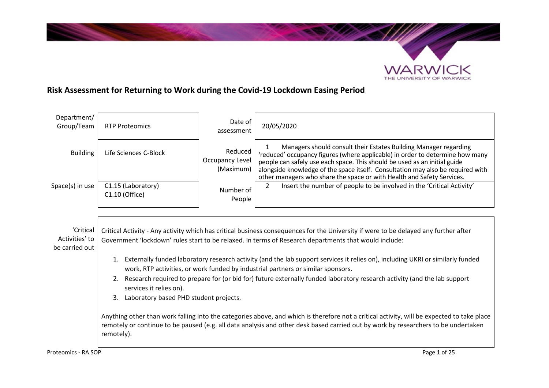

# **Risk Assessment for Returning to Work during the Covid-19 Lockdown Easing Period**

| Department/<br>Group/Team                     | <b>RTP Proteomics</b>                                                                                                                                                                                                                                                                                                                                                                                                                                                                                                                                                                                                                                                                                                                                                                                                                                                                                                                                                              | Date of<br>assessment                   | 20/05/2020                                                                                                                                                                                                                                                                                                                                                                                        |
|-----------------------------------------------|------------------------------------------------------------------------------------------------------------------------------------------------------------------------------------------------------------------------------------------------------------------------------------------------------------------------------------------------------------------------------------------------------------------------------------------------------------------------------------------------------------------------------------------------------------------------------------------------------------------------------------------------------------------------------------------------------------------------------------------------------------------------------------------------------------------------------------------------------------------------------------------------------------------------------------------------------------------------------------|-----------------------------------------|---------------------------------------------------------------------------------------------------------------------------------------------------------------------------------------------------------------------------------------------------------------------------------------------------------------------------------------------------------------------------------------------------|
| <b>Building</b>                               | Life Sciences C-Block                                                                                                                                                                                                                                                                                                                                                                                                                                                                                                                                                                                                                                                                                                                                                                                                                                                                                                                                                              | Reduced<br>Occupancy Level<br>(Maximum) | Managers should consult their Estates Building Manager regarding<br>1.<br>'reduced' occupancy figures (where applicable) in order to determine how many<br>people can safely use each space. This should be used as an initial guide<br>alongside knowledge of the space itself. Consultation may also be required with<br>other managers who share the space or with Health and Safety Services. |
| Space(s) in use                               | C1.15 (Laboratory)<br>$C1.10$ (Office)                                                                                                                                                                                                                                                                                                                                                                                                                                                                                                                                                                                                                                                                                                                                                                                                                                                                                                                                             | Number of<br>People                     | Insert the number of people to be involved in the 'Critical Activity'<br>$\mathfrak{D}$                                                                                                                                                                                                                                                                                                           |
|                                               |                                                                                                                                                                                                                                                                                                                                                                                                                                                                                                                                                                                                                                                                                                                                                                                                                                                                                                                                                                                    |                                         |                                                                                                                                                                                                                                                                                                                                                                                                   |
| 'Critical<br>Activities' to<br>be carried out | Critical Activity - Any activity which has critical business consequences for the University if were to be delayed any further after<br>Government 'lockdown' rules start to be relaxed. In terms of Research departments that would include:<br>1. Externally funded laboratory research activity (and the lab support services it relies on), including UKRI or similarly funded<br>work, RTP activities, or work funded by industrial partners or similar sponsors.<br>2. Research required to prepare for (or bid for) future externally funded laboratory research activity (and the lab support<br>services it relies on).<br>Laboratory based PHD student projects.<br>3.<br>Anything other than work falling into the categories above, and which is therefore not a critical activity, will be expected to take place<br>remotely or continue to be paused (e.g. all data analysis and other desk based carried out by work by researchers to be undertaken<br>remotely). |                                         |                                                                                                                                                                                                                                                                                                                                                                                                   |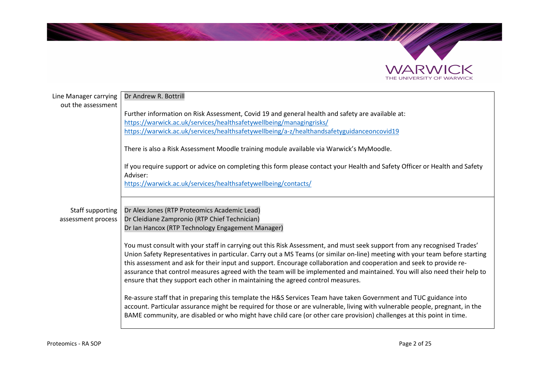

| Line Manager carrying | Dr Andrew R. Bottrill                                                                                                                                                                                                                                                                                                                                                                                                                                                                                                                                                                            |
|-----------------------|--------------------------------------------------------------------------------------------------------------------------------------------------------------------------------------------------------------------------------------------------------------------------------------------------------------------------------------------------------------------------------------------------------------------------------------------------------------------------------------------------------------------------------------------------------------------------------------------------|
| out the assessment    |                                                                                                                                                                                                                                                                                                                                                                                                                                                                                                                                                                                                  |
|                       | Further information on Risk Assessment, Covid 19 and general health and safety are available at:                                                                                                                                                                                                                                                                                                                                                                                                                                                                                                 |
|                       | https://warwick.ac.uk/services/healthsafetywellbeing/managingrisks/                                                                                                                                                                                                                                                                                                                                                                                                                                                                                                                              |
|                       | https://warwick.ac.uk/services/healthsafetywellbeing/a-z/healthandsafetyguidanceoncovid19                                                                                                                                                                                                                                                                                                                                                                                                                                                                                                        |
|                       | There is also a Risk Assessment Moodle training module available via Warwick's MyMoodle.                                                                                                                                                                                                                                                                                                                                                                                                                                                                                                         |
|                       | If you require support or advice on completing this form please contact your Health and Safety Officer or Health and Safety<br>Adviser:                                                                                                                                                                                                                                                                                                                                                                                                                                                          |
|                       | https://warwick.ac.uk/services/healthsafetywellbeing/contacts/                                                                                                                                                                                                                                                                                                                                                                                                                                                                                                                                   |
| Staff supporting      | Dr Alex Jones (RTP Proteomics Academic Lead)                                                                                                                                                                                                                                                                                                                                                                                                                                                                                                                                                     |
| assessment process    | Dr Cleidiane Zampronio (RTP Chief Technician)                                                                                                                                                                                                                                                                                                                                                                                                                                                                                                                                                    |
|                       | Dr Ian Hancox (RTP Technology Engagement Manager)                                                                                                                                                                                                                                                                                                                                                                                                                                                                                                                                                |
|                       | You must consult with your staff in carrying out this Risk Assessment, and must seek support from any recognised Trades'<br>Union Safety Representatives in particular. Carry out a MS Teams (or similar on-line) meeting with your team before starting<br>this assessment and ask for their input and support. Encourage collaboration and cooperation and seek to provide re-<br>assurance that control measures agreed with the team will be implemented and maintained. You will also need their help to<br>ensure that they support each other in maintaining the agreed control measures. |
|                       | Re-assure staff that in preparing this template the H&S Services Team have taken Government and TUC guidance into<br>account. Particular assurance might be required for those or are vulnerable, living with vulnerable people, pregnant, in the<br>BAME community, are disabled or who might have child care (or other care provision) challenges at this point in time.                                                                                                                                                                                                                       |

WARWICK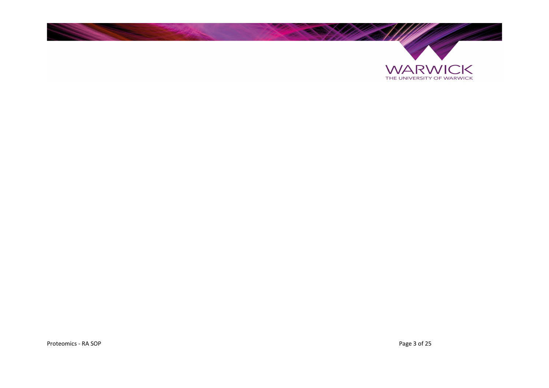

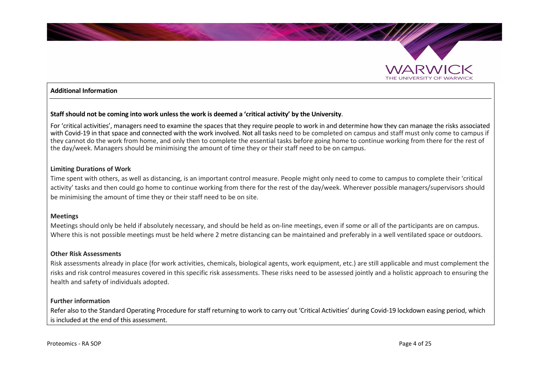

#### **Additional Information**

#### **Staff should not be coming into work unless the work is deemed a 'critical activity' by the University**.

For 'critical activities', managers need to examine the spaces that they require people to work in and determine how they can manage the risks associated with Covid-19 in that space and connected with the work involved. Not all tasks need to be completed on campus and staff must only come to campus if they cannot do the work from home, and only then to complete the essential tasks before going home to continue working from there for the rest of the day/week. Managers should be minimising the amount of time they or their staff need to be on campus.

#### **Limiting Durations of Work**

Time spent with others, as well as distancing, is an important control measure. People might only need to come to campus to complete their 'critical activity' tasks and then could go home to continue working from there for the rest of the day/week. Wherever possible managers/supervisors should be minimising the amount of time they or their staff need to be on site.

#### **Meetings**

Meetings should only be held if absolutely necessary, and should be held as on-line meetings, even if some or all of the participants are on campus. Where this is not possible meetings must be held where 2 metre distancing can be maintained and preferably in a well ventilated space or outdoors.

#### **Other Risk Assessments**

Risk assessments already in place (for work activities, chemicals, biological agents, work equipment, etc.) are still applicable and must complement the risks and risk control measures covered in this specific risk assessments. These risks need to be assessed jointly and a holistic approach to ensuring the health and safety of individuals adopted.

#### **Further information**

Refer also to the Standard Operating Procedure for staff returning to work to carry out 'Critical Activities' during Covid-19 lockdown easing period, which is included at the end of this assessment.

Proteomics - RA SOP Page 4 of 25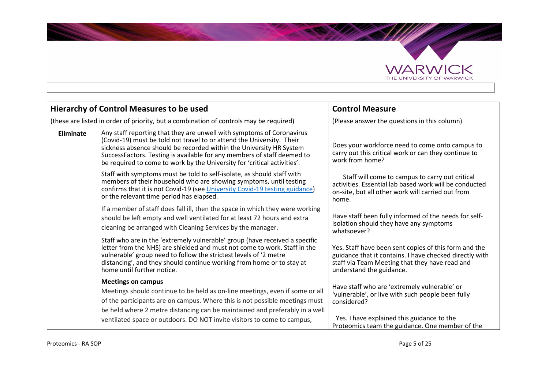



| <b>Hierarchy of Control Measures to be used</b> |                                                                                                                                                                                                                                                                                                                                                                              | <b>Control Measure</b>                                                                                                                                                                                            |
|-------------------------------------------------|------------------------------------------------------------------------------------------------------------------------------------------------------------------------------------------------------------------------------------------------------------------------------------------------------------------------------------------------------------------------------|-------------------------------------------------------------------------------------------------------------------------------------------------------------------------------------------------------------------|
|                                                 | (these are listed in order of priority, but a combination of controls may be required)                                                                                                                                                                                                                                                                                       | (Please answer the questions in this column)                                                                                                                                                                      |
| Eliminate                                       | Any staff reporting that they are unwell with symptoms of Coronavirus<br>(Covid-19) must be told not travel to or attend the University. Their<br>sickness absence should be recorded within the University HR System<br>SuccessFactors. Testing is available for any members of staff deemed to<br>be required to come to work by the University for 'critical activities'. | Does your workforce need to come onto campus to<br>carry out this critical work or can they continue to<br>work from home?                                                                                        |
|                                                 | Staff with symptoms must be told to self-isolate, as should staff with<br>members of their household who are showing symptoms, until testing<br>confirms that it is not Covid-19 (see University Covid-19 testing guidance)<br>or the relevant time period has elapsed.                                                                                                      | Staff will come to campus to carry out critical<br>activities. Essential lab based work will be conducted<br>on-site, but all other work will carried out from<br>home.                                           |
|                                                 | If a member of staff does fall ill, then the space in which they were working<br>should be left empty and well ventilated for at least 72 hours and extra<br>cleaning be arranged with Cleaning Services by the manager.                                                                                                                                                     | Have staff been fully informed of the needs for self-<br>isolation should they have any symptoms<br>whatsoever?                                                                                                   |
|                                                 | Staff who are in the 'extremely vulnerable' group (have received a specific<br>letter from the NHS) are shielded and must not come to work. Staff in the<br>vulnerable' group need to follow the strictest levels of '2 metre<br>distancing', and they should continue working from home or to stay at<br>home until further notice.                                         | Yes. Staff have been sent copies of this form and the<br>guidance that it contains. I have checked directly with<br>staff via Team Meeting that they have read and<br>understand the guidance.                    |
|                                                 | <b>Meetings on campus</b><br>Meetings should continue to be held as on-line meetings, even if some or all<br>of the participants are on campus. Where this is not possible meetings must<br>be held where 2 metre distancing can be maintained and preferably in a well<br>ventilated space or outdoors. DO NOT invite visitors to come to campus,                           | Have staff who are 'extremely vulnerable' or<br>'vulnerable', or live with such people been fully<br>considered?<br>Yes. I have explained this guidance to the<br>Proteomics team the guidance. One member of the |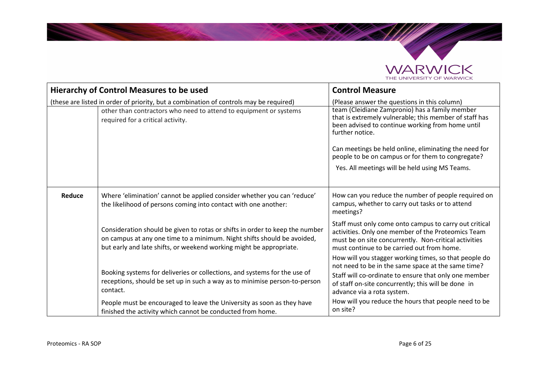

**September** 

| <b>Hierarchy of Control Measures to be used</b>                                        |                                                                                                                                                                                                                                | <b>Control Measure</b>                                                                                                                                                                                                                                    |
|----------------------------------------------------------------------------------------|--------------------------------------------------------------------------------------------------------------------------------------------------------------------------------------------------------------------------------|-----------------------------------------------------------------------------------------------------------------------------------------------------------------------------------------------------------------------------------------------------------|
| (these are listed in order of priority, but a combination of controls may be required) |                                                                                                                                                                                                                                | (Please answer the questions in this column)                                                                                                                                                                                                              |
|                                                                                        | other than contractors who need to attend to equipment or systems<br>required for a critical activity.                                                                                                                         | team (Cleidiane Zampronio) has a family member<br>that is extremely vulnerable; this member of staff has<br>been advised to continue working from home until<br>further notice.                                                                           |
|                                                                                        |                                                                                                                                                                                                                                | Can meetings be held online, eliminating the need for<br>people to be on campus or for them to congregate?                                                                                                                                                |
|                                                                                        |                                                                                                                                                                                                                                | Yes. All meetings will be held using MS Teams.                                                                                                                                                                                                            |
| Reduce                                                                                 | Where 'elimination' cannot be applied consider whether you can 'reduce'<br>the likelihood of persons coming into contact with one another:                                                                                     | How can you reduce the number of people required on<br>campus, whether to carry out tasks or to attend<br>meetings?                                                                                                                                       |
|                                                                                        | Consideration should be given to rotas or shifts in order to keep the number<br>on campus at any one time to a minimum. Night shifts should be avoided,<br>but early and late shifts, or weekend working might be appropriate. | Staff must only come onto campus to carry out critical<br>activities. Only one member of the Proteomics Team<br>must be on site concurrently. Non-critical activities<br>must continue to be carried out from home.                                       |
|                                                                                        | Booking systems for deliveries or collections, and systems for the use of<br>receptions, should be set up in such a way as to minimise person-to-person<br>contact.                                                            | How will you stagger working times, so that people do<br>not need to be in the same space at the same time?<br>Staff will co-ordinate to ensure that only one member<br>of staff on-site concurrently; this will be done in<br>advance via a rota system. |
|                                                                                        | People must be encouraged to leave the University as soon as they have<br>finished the activity which cannot be conducted from home.                                                                                           | How will you reduce the hours that people need to be<br>on site?                                                                                                                                                                                          |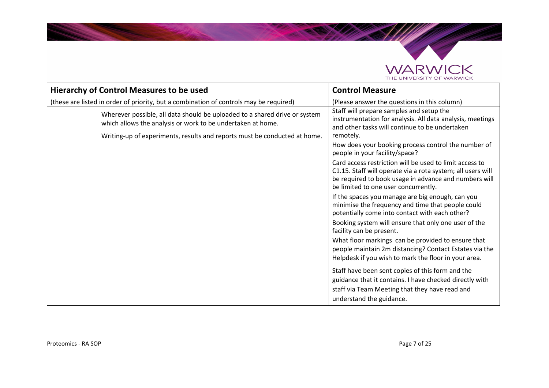

<u>September</u>

| <b>Hierarchy of Control Measures to be used</b>                                                                                                                                                                        | <b>Control Measure</b>                                                                                                                                                                                                  |
|------------------------------------------------------------------------------------------------------------------------------------------------------------------------------------------------------------------------|-------------------------------------------------------------------------------------------------------------------------------------------------------------------------------------------------------------------------|
| (these are listed in order of priority, but a combination of controls may be required)                                                                                                                                 | (Please answer the questions in this column)                                                                                                                                                                            |
| Wherever possible, all data should be uploaded to a shared drive or system<br>which allows the analysis or work to be undertaken at home.<br>Writing-up of experiments, results and reports must be conducted at home. | Staff will prepare samples and setup the<br>instrumentation for analysis. All data analysis, meetings<br>and other tasks will continue to be undertaken<br>remotely.                                                    |
|                                                                                                                                                                                                                        | How does your booking process control the number of<br>people in your facility/space?                                                                                                                                   |
|                                                                                                                                                                                                                        | Card access restriction will be used to limit access to<br>C1.15. Staff will operate via a rota system; all users will<br>be required to book usage in advance and numbers will<br>be limited to one user concurrently. |
|                                                                                                                                                                                                                        | If the spaces you manage are big enough, can you<br>minimise the frequency and time that people could<br>potentially come into contact with each other?                                                                 |
|                                                                                                                                                                                                                        | Booking system will ensure that only one user of the<br>facility can be present.                                                                                                                                        |
|                                                                                                                                                                                                                        | What floor markings can be provided to ensure that<br>people maintain 2m distancing? Contact Estates via the<br>Helpdesk if you wish to mark the floor in your area.                                                    |
|                                                                                                                                                                                                                        | Staff have been sent copies of this form and the<br>guidance that it contains. I have checked directly with<br>staff via Team Meeting that they have read and<br>understand the guidance.                               |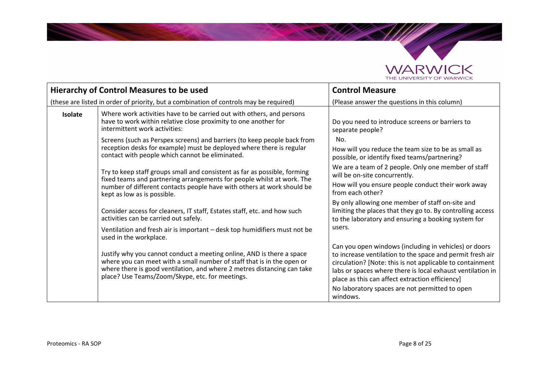

Samara

| <b>Hierarchy of Control Measures to be used</b>                                        |                                                                                                                                                                                                                                                                               | <b>Control Measure</b>                                                                                                                                                                                                                                                                           |
|----------------------------------------------------------------------------------------|-------------------------------------------------------------------------------------------------------------------------------------------------------------------------------------------------------------------------------------------------------------------------------|--------------------------------------------------------------------------------------------------------------------------------------------------------------------------------------------------------------------------------------------------------------------------------------------------|
| (these are listed in order of priority, but a combination of controls may be required) |                                                                                                                                                                                                                                                                               | (Please answer the questions in this column)                                                                                                                                                                                                                                                     |
| <b>Isolate</b>                                                                         | Where work activities have to be carried out with others, and persons<br>have to work within relative close proximity to one another for<br>intermittent work activities:                                                                                                     | Do you need to introduce screens or barriers to<br>separate people?                                                                                                                                                                                                                              |
|                                                                                        | Screens (such as Perspex screens) and barriers (to keep people back from<br>reception desks for example) must be deployed where there is regular<br>contact with people which cannot be eliminated.                                                                           | No.<br>How will you reduce the team size to be as small as<br>possible, or identify fixed teams/partnering?                                                                                                                                                                                      |
|                                                                                        | Try to keep staff groups small and consistent as far as possible, forming                                                                                                                                                                                                     | We are a team of 2 people. Only one member of staff<br>will be on-site concurrently.                                                                                                                                                                                                             |
|                                                                                        | fixed teams and partnering arrangements for people whilst at work. The<br>number of different contacts people have with others at work should be<br>kept as low as is possible.                                                                                               | How will you ensure people conduct their work away<br>from each other?                                                                                                                                                                                                                           |
|                                                                                        | Consider access for cleaners, IT staff, Estates staff, etc. and how such<br>activities can be carried out safely.                                                                                                                                                             | By only allowing one member of staff on-site and<br>limiting the places that they go to. By controlling access<br>to the laboratory and ensuring a booking system for                                                                                                                            |
|                                                                                        | Ventilation and fresh air is important - desk top humidifiers must not be<br>used in the workplace.                                                                                                                                                                           | users.                                                                                                                                                                                                                                                                                           |
|                                                                                        | Justify why you cannot conduct a meeting online, AND is there a space<br>where you can meet with a small number of staff that is in the open or<br>where there is good ventilation, and where 2 metres distancing can take<br>place? Use Teams/Zoom/Skype, etc. for meetings. | Can you open windows (including in vehicles) or doors<br>to increase ventilation to the space and permit fresh air<br>circulation? [Note: this is not applicable to containment<br>labs or spaces where there is local exhaust ventilation in<br>place as this can affect extraction efficiency] |
|                                                                                        |                                                                                                                                                                                                                                                                               | No laboratory spaces are not permitted to open<br>windows.                                                                                                                                                                                                                                       |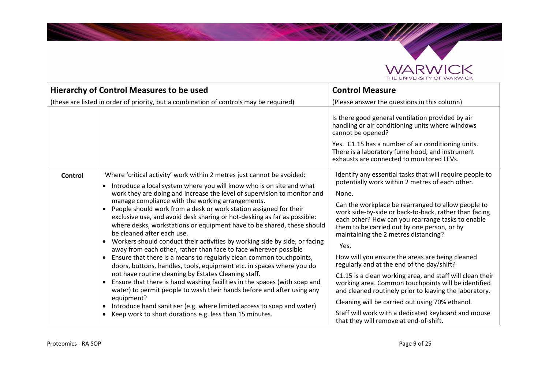

Samara

| <b>Hierarchy of Control Measures to be used</b>                                        |                                                                                                                                                                                                                                                                                                                                                                                                                                                                                                                                                                                                                                                                                                                                                                                                                                                                                                                                                                                                                                                                                                                                                                                                                                                                                                        | <b>Control Measure</b>                                                                                                                                                                                                                                                                                                                                                                                                                                                                                                                                                                                                                                                                                                                                                                                                     |
|----------------------------------------------------------------------------------------|--------------------------------------------------------------------------------------------------------------------------------------------------------------------------------------------------------------------------------------------------------------------------------------------------------------------------------------------------------------------------------------------------------------------------------------------------------------------------------------------------------------------------------------------------------------------------------------------------------------------------------------------------------------------------------------------------------------------------------------------------------------------------------------------------------------------------------------------------------------------------------------------------------------------------------------------------------------------------------------------------------------------------------------------------------------------------------------------------------------------------------------------------------------------------------------------------------------------------------------------------------------------------------------------------------|----------------------------------------------------------------------------------------------------------------------------------------------------------------------------------------------------------------------------------------------------------------------------------------------------------------------------------------------------------------------------------------------------------------------------------------------------------------------------------------------------------------------------------------------------------------------------------------------------------------------------------------------------------------------------------------------------------------------------------------------------------------------------------------------------------------------------|
| (these are listed in order of priority, but a combination of controls may be required) |                                                                                                                                                                                                                                                                                                                                                                                                                                                                                                                                                                                                                                                                                                                                                                                                                                                                                                                                                                                                                                                                                                                                                                                                                                                                                                        | (Please answer the questions in this column)                                                                                                                                                                                                                                                                                                                                                                                                                                                                                                                                                                                                                                                                                                                                                                               |
|                                                                                        |                                                                                                                                                                                                                                                                                                                                                                                                                                                                                                                                                                                                                                                                                                                                                                                                                                                                                                                                                                                                                                                                                                                                                                                                                                                                                                        | Is there good general ventilation provided by air<br>handling or air conditioning units where windows<br>cannot be opened?<br>Yes. C1.15 has a number of air conditioning units.<br>There is a laboratory fume hood, and instrument<br>exhausts are connected to monitored LEVs.                                                                                                                                                                                                                                                                                                                                                                                                                                                                                                                                           |
| <b>Control</b>                                                                         | Where 'critical activity' work within 2 metres just cannot be avoided:<br>Introduce a local system where you will know who is on site and what<br>$\bullet$<br>work they are doing and increase the level of supervision to monitor and<br>manage compliance with the working arrangements.<br>People should work from a desk or work station assigned for their<br>$\bullet$<br>exclusive use, and avoid desk sharing or hot-desking as far as possible:<br>where desks, workstations or equipment have to be shared, these should<br>be cleaned after each use.<br>Workers should conduct their activities by working side by side, or facing<br>$\bullet$<br>away from each other, rather than face to face wherever possible<br>Ensure that there is a means to regularly clean common touchpoints,<br>$\bullet$<br>doors, buttons, handles, tools, equipment etc. in spaces where you do<br>not have routine cleaning by Estates Cleaning staff.<br>Ensure that there is hand washing facilities in the spaces (with soap and<br>$\bullet$<br>water) to permit people to wash their hands before and after using any<br>equipment?<br>Introduce hand sanitiser (e.g. where limited access to soap and water)<br>$\bullet$<br>Keep work to short durations e.g. less than 15 minutes.<br>$\bullet$ | Identify any essential tasks that will require people to<br>potentially work within 2 metres of each other.<br>None.<br>Can the workplace be rearranged to allow people to<br>work side-by-side or back-to-back, rather than facing<br>each other? How can you rearrange tasks to enable<br>them to be carried out by one person, or by<br>maintaining the 2 metres distancing?<br>Yes.<br>How will you ensure the areas are being cleaned<br>regularly and at the end of the day/shift?<br>C1.15 is a clean working area, and staff will clean their<br>working area. Common touchpoints will be identified<br>and cleaned routinely prior to leaving the laboratory.<br>Cleaning will be carried out using 70% ethanol.<br>Staff will work with a dedicated keyboard and mouse<br>that they will remove at end-of-shift. |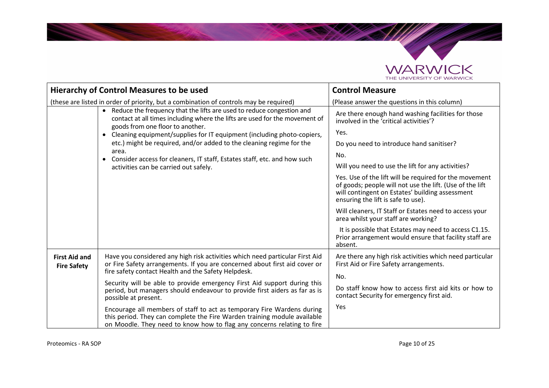

Samara

|                                            | <b>Hierarchy of Control Measures to be used</b>                                                                                                                                                                                                                                                                                                                                                                                                                                                                 | <b>Control Measure</b>                                                                                                                                                                                                                                                                                                                                                                                                                                                                                                                                                                                                                                     |
|--------------------------------------------|-----------------------------------------------------------------------------------------------------------------------------------------------------------------------------------------------------------------------------------------------------------------------------------------------------------------------------------------------------------------------------------------------------------------------------------------------------------------------------------------------------------------|------------------------------------------------------------------------------------------------------------------------------------------------------------------------------------------------------------------------------------------------------------------------------------------------------------------------------------------------------------------------------------------------------------------------------------------------------------------------------------------------------------------------------------------------------------------------------------------------------------------------------------------------------------|
|                                            | (these are listed in order of priority, but a combination of controls may be required)                                                                                                                                                                                                                                                                                                                                                                                                                          | (Please answer the questions in this column)                                                                                                                                                                                                                                                                                                                                                                                                                                                                                                                                                                                                               |
|                                            | Reduce the frequency that the lifts are used to reduce congestion and<br>$\bullet$<br>contact at all times including where the lifts are used for the movement of<br>goods from one floor to another.<br>Cleaning equipment/supplies for IT equipment (including photo-copiers,<br>$\bullet$<br>etc.) might be required, and/or added to the cleaning regime for the<br>area.<br>Consider access for cleaners, IT staff, Estates staff, etc. and how such<br>$\bullet$<br>activities can be carried out safely. | Are there enough hand washing facilities for those<br>involved in the 'critical activities'?<br>Yes.<br>Do you need to introduce hand sanitiser?<br>No.<br>Will you need to use the lift for any activities?<br>Yes. Use of the lift will be required for the movement<br>of goods; people will not use the lift. (Use of the lift<br>will contingent on Estates' building assessment<br>ensuring the lift is safe to use).<br>Will cleaners, IT Staff or Estates need to access your<br>area whilst your staff are working?<br>It is possible that Estates may need to access C1.15.<br>Prior arrangement would ensure that facility staff are<br>absent. |
| <b>First Aid and</b><br><b>Fire Safety</b> | Have you considered any high risk activities which need particular First Aid<br>or Fire Safety arrangements. If you are concerned about first aid cover or<br>fire safety contact Health and the Safety Helpdesk.<br>Security will be able to provide emergency First Aid support during this<br>period, but managers should endeavour to provide first aiders as far as is<br>possible at present.                                                                                                             | Are there any high risk activities which need particular<br>First Aid or Fire Safety arrangements.<br>No.<br>Do staff know how to access first aid kits or how to<br>contact Security for emergency first aid.                                                                                                                                                                                                                                                                                                                                                                                                                                             |
|                                            | Encourage all members of staff to act as temporary Fire Wardens during<br>this period. They can complete the Fire Warden training module available<br>on Moodle. They need to know how to flag any concerns relating to fire                                                                                                                                                                                                                                                                                    | Yes                                                                                                                                                                                                                                                                                                                                                                                                                                                                                                                                                                                                                                                        |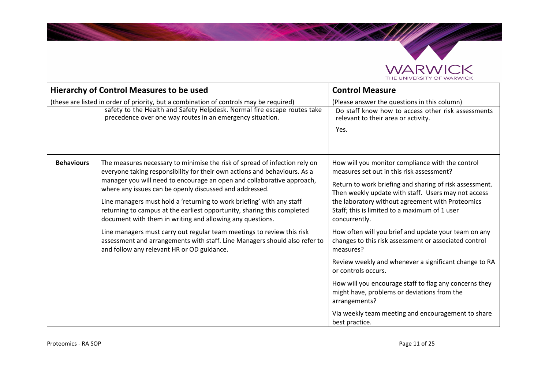

September

|                   | <b>Hierarchy of Control Measures to be used</b>                                                                                                                                                                                                                                                                                                                                                                                                                                                                                                                                                                                                                                                                     | <b>Control Measure</b>                                                                                                                                                                                                                                                                                                                                                                                                                                                                                                                              |
|-------------------|---------------------------------------------------------------------------------------------------------------------------------------------------------------------------------------------------------------------------------------------------------------------------------------------------------------------------------------------------------------------------------------------------------------------------------------------------------------------------------------------------------------------------------------------------------------------------------------------------------------------------------------------------------------------------------------------------------------------|-----------------------------------------------------------------------------------------------------------------------------------------------------------------------------------------------------------------------------------------------------------------------------------------------------------------------------------------------------------------------------------------------------------------------------------------------------------------------------------------------------------------------------------------------------|
|                   | (these are listed in order of priority, but a combination of controls may be required)<br>safety to the Health and Safety Helpdesk. Normal fire escape routes take<br>precedence over one way routes in an emergency situation.                                                                                                                                                                                                                                                                                                                                                                                                                                                                                     | (Please answer the questions in this column)<br>Do staff know how to access other risk assessments<br>relevant to their area or activity.<br>Yes.                                                                                                                                                                                                                                                                                                                                                                                                   |
| <b>Behaviours</b> | The measures necessary to minimise the risk of spread of infection rely on<br>everyone taking responsibility for their own actions and behaviours. As a<br>manager you will need to encourage an open and collaborative approach,<br>where any issues can be openly discussed and addressed.<br>Line managers must hold a 'returning to work briefing' with any staff<br>returning to campus at the earliest opportunity, sharing this completed<br>document with them in writing and allowing any questions.<br>Line managers must carry out regular team meetings to review this risk<br>assessment and arrangements with staff. Line Managers should also refer to<br>and follow any relevant HR or OD guidance. | How will you monitor compliance with the control<br>measures set out in this risk assessment?<br>Return to work briefing and sharing of risk assessment.<br>Then weekly update with staff. Users may not access<br>the laboratory without agreement with Proteomics<br>Staff; this is limited to a maximum of 1 user<br>concurrently.<br>How often will you brief and update your team on any<br>changes to this risk assessment or associated control<br>measures?<br>Review weekly and whenever a significant change to RA<br>or controls occurs. |
|                   |                                                                                                                                                                                                                                                                                                                                                                                                                                                                                                                                                                                                                                                                                                                     | How will you encourage staff to flag any concerns they<br>might have, problems or deviations from the<br>arrangements?<br>Via weekly team meeting and encouragement to share<br>best practice.                                                                                                                                                                                                                                                                                                                                                      |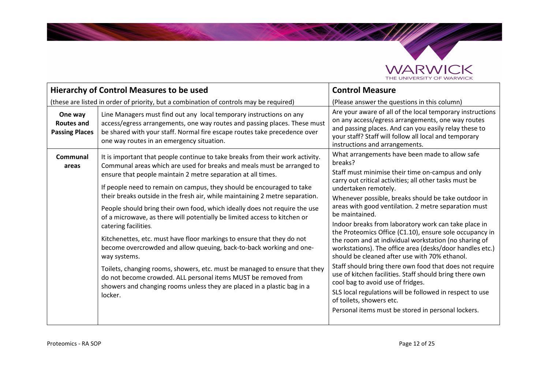

**Comment** 

| <b>Hierarchy of Control Measures to be used</b>       |                                                                                                                                                                                                                                                                                                                                                                                                                                                                                                                                                                                                                                                                                                                                                                                                                                                                                                                                                                            | <b>Control Measure</b>                                                                                                                                                                                                                                                                                                                                                                                                                                                                                                                                                                                                                                                                                                                                                                                                                                                                                                              |
|-------------------------------------------------------|----------------------------------------------------------------------------------------------------------------------------------------------------------------------------------------------------------------------------------------------------------------------------------------------------------------------------------------------------------------------------------------------------------------------------------------------------------------------------------------------------------------------------------------------------------------------------------------------------------------------------------------------------------------------------------------------------------------------------------------------------------------------------------------------------------------------------------------------------------------------------------------------------------------------------------------------------------------------------|-------------------------------------------------------------------------------------------------------------------------------------------------------------------------------------------------------------------------------------------------------------------------------------------------------------------------------------------------------------------------------------------------------------------------------------------------------------------------------------------------------------------------------------------------------------------------------------------------------------------------------------------------------------------------------------------------------------------------------------------------------------------------------------------------------------------------------------------------------------------------------------------------------------------------------------|
|                                                       | (these are listed in order of priority, but a combination of controls may be required)                                                                                                                                                                                                                                                                                                                                                                                                                                                                                                                                                                                                                                                                                                                                                                                                                                                                                     | (Please answer the questions in this column)                                                                                                                                                                                                                                                                                                                                                                                                                                                                                                                                                                                                                                                                                                                                                                                                                                                                                        |
| One way<br><b>Routes and</b><br><b>Passing Places</b> | Line Managers must find out any local temporary instructions on any<br>access/egress arrangements, one way routes and passing places. These must<br>be shared with your staff. Normal fire escape routes take precedence over<br>one way routes in an emergency situation.                                                                                                                                                                                                                                                                                                                                                                                                                                                                                                                                                                                                                                                                                                 | Are your aware of all of the local temporary instructions<br>on any access/egress arrangements, one way routes<br>and passing places. And can you easily relay these to<br>your staff? Staff will follow all local and temporary<br>instructions and arrangements.                                                                                                                                                                                                                                                                                                                                                                                                                                                                                                                                                                                                                                                                  |
| Communal<br>areas                                     | It is important that people continue to take breaks from their work activity.<br>Communal areas which are used for breaks and meals must be arranged to<br>ensure that people maintain 2 metre separation at all times.<br>If people need to remain on campus, they should be encouraged to take<br>their breaks outside in the fresh air, while maintaining 2 metre separation.<br>People should bring their own food, which ideally does not require the use<br>of a microwave, as there will potentially be limited access to kitchen or<br>catering facilities.<br>Kitchenettes, etc. must have floor markings to ensure that they do not<br>become overcrowded and allow queuing, back-to-back working and one-<br>way systems.<br>Toilets, changing rooms, showers, etc. must be managed to ensure that they<br>do not become crowded. ALL personal items MUST be removed from<br>showers and changing rooms unless they are placed in a plastic bag in a<br>locker. | What arrangements have been made to allow safe<br>breaks?<br>Staff must minimise their time on-campus and only<br>carry out critical activities; all other tasks must be<br>undertaken remotely.<br>Whenever possible, breaks should be take outdoor in<br>areas with good ventilation. 2 metre separation must<br>be maintained.<br>Indoor breaks from laboratory work can take place in<br>the Proteomics Office (C1.10), ensure sole occupancy in<br>the room and at individual workstation (no sharing of<br>workstations). The office area (desks/door handles etc.)<br>should be cleaned after use with 70% ethanol.<br>Staff should bring there own food that does not require<br>use of kitchen facilities. Staff should bring there own<br>cool bag to avoid use of fridges.<br>SLS local regulations will be followed in respect to use<br>of toilets, showers etc.<br>Personal items must be stored in personal lockers. |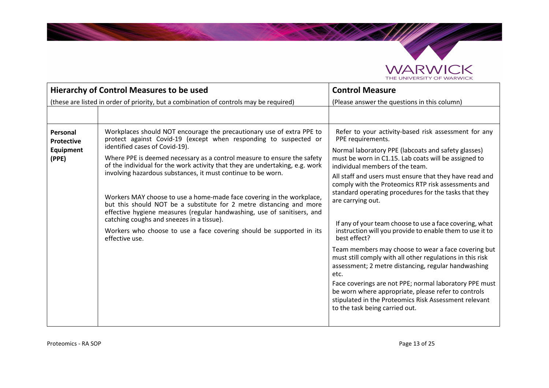

**September** 

|                               | <b>Hierarchy of Control Measures to be used</b>                                                                                                                                                                                                                                                                                                                                                                                | <b>Control Measure</b>                                                                                                                                                                                                                                                                                                                                                                      |
|-------------------------------|--------------------------------------------------------------------------------------------------------------------------------------------------------------------------------------------------------------------------------------------------------------------------------------------------------------------------------------------------------------------------------------------------------------------------------|---------------------------------------------------------------------------------------------------------------------------------------------------------------------------------------------------------------------------------------------------------------------------------------------------------------------------------------------------------------------------------------------|
|                               | (these are listed in order of priority, but a combination of controls may be required)                                                                                                                                                                                                                                                                                                                                         | (Please answer the questions in this column)                                                                                                                                                                                                                                                                                                                                                |
|                               |                                                                                                                                                                                                                                                                                                                                                                                                                                |                                                                                                                                                                                                                                                                                                                                                                                             |
| Personal<br><b>Protective</b> | Workplaces should NOT encourage the precautionary use of extra PPE to<br>protect against Covid-19 (except when responding to suspected or<br>identified cases of Covid-19).                                                                                                                                                                                                                                                    | Refer to your activity-based risk assessment for any<br>PPE requirements.                                                                                                                                                                                                                                                                                                                   |
| Equipment<br>(PPE)            | Where PPE is deemed necessary as a control measure to ensure the safety<br>of the individual for the work activity that they are undertaking, e.g. work                                                                                                                                                                                                                                                                        | Normal laboratory PPE (labcoats and safety glasses)<br>must be worn in C1.15. Lab coats will be assigned to<br>individual members of the team.                                                                                                                                                                                                                                              |
|                               | involving hazardous substances, it must continue to be worn.<br>Workers MAY choose to use a home-made face covering in the workplace,<br>but this should NOT be a substitute for 2 metre distancing and more<br>effective hygiene measures (regular handwashing, use of sanitisers, and<br>catching coughs and sneezes in a tissue).<br>Workers who choose to use a face covering should be supported in its<br>effective use. | All staff and users must ensure that they have read and<br>comply with the Proteomics RTP risk assessments and<br>standard operating procedures for the tasks that they<br>are carrying out.<br>If any of your team choose to use a face covering, what<br>instruction will you provide to enable them to use it to<br>best effect?                                                         |
|                               |                                                                                                                                                                                                                                                                                                                                                                                                                                | Team members may choose to wear a face covering but<br>must still comply with all other regulations in this risk<br>assessment; 2 metre distancing, regular handwashing<br>etc.<br>Face coverings are not PPE; normal laboratory PPE must<br>be worn where appropriate, please refer to controls<br>stipulated in the Proteomics Risk Assessment relevant<br>to the task being carried out. |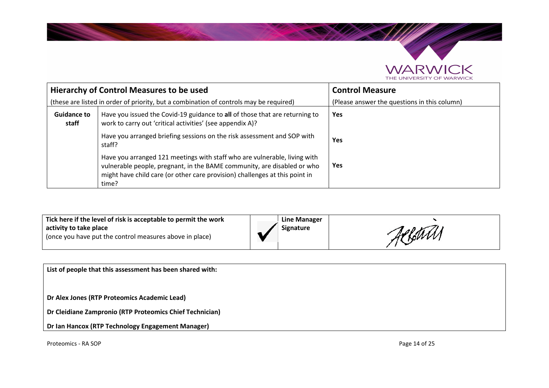

**START COM** 

| <b>Hierarchy of Control Measures to be used</b> |                                                                                                                                                                                                                                              | <b>Control Measure</b>                       |
|-------------------------------------------------|----------------------------------------------------------------------------------------------------------------------------------------------------------------------------------------------------------------------------------------------|----------------------------------------------|
|                                                 | (these are listed in order of priority, but a combination of controls may be required)                                                                                                                                                       | (Please answer the questions in this column) |
| <b>Guidance to</b><br>staff                     | Have you issued the Covid-19 guidance to all of those that are returning to<br>work to carry out 'critical activities' (see appendix A)?                                                                                                     | Yes                                          |
|                                                 | Have you arranged briefing sessions on the risk assessment and SOP with<br>staff?                                                                                                                                                            | <b>Yes</b>                                   |
|                                                 | Have you arranged 121 meetings with staff who are vulnerable, living with<br>vulnerable people, pregnant, in the BAME community, are disabled or who<br>might have child care (or other care provision) challenges at this point in<br>time? | <b>Yes</b>                                   |

| Tick here if the level of risk is acceptable to permit the work<br>activity to take place<br>(once you have put the control measures above in place) |  | Line Manager<br><b>Signature</b> | $\mathbb{Z}^{\rho}$ |
|------------------------------------------------------------------------------------------------------------------------------------------------------|--|----------------------------------|---------------------|
|------------------------------------------------------------------------------------------------------------------------------------------------------|--|----------------------------------|---------------------|

**List of people that this assessment has been shared with:** 

**Dr Alex Jones (RTP Proteomics Academic Lead)**

**Dr Cleidiane Zampronio (RTP Proteomics Chief Technician)**

**Dr Ian Hancox (RTP Technology Engagement Manager)**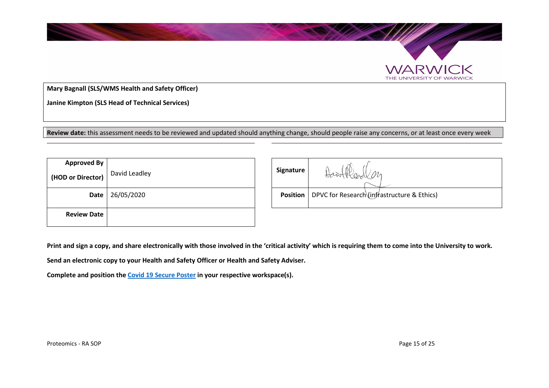



**Mary Bagnall (SLS/WMS Health and Safety Officer)** 

**Janine Kimpton (SLS Head of Technical Services)** 

**Review date:** this assessment needs to be reviewed and updated should anything change, should people raise any concerns, or at least once every week

| <b>Approved By</b> |               |                 |
|--------------------|---------------|-----------------|
| (HOD or Director)  | David Leadley | Signature       |
| Date               | 26/05/2020    | <b>Position</b> |
| <b>Review Date</b> |               |                 |

| d By<br>ctor) | David Leadley | Signature | Hart Read on                                                  |
|---------------|---------------|-----------|---------------------------------------------------------------|
| Date          | 26/05/2020    |           | <b>Position</b>   DPVC for Research (infrastructure & Ethics) |

**Print and sign a copy, and share electronically with those involved in the 'critical activity' which is requiring them to come into the University to work.** 

**Send an electronic copy to your Health and Safety Officer or Health and Safety Adviser.** 

**Complete and position the Covid 19 Secure Poster in your respective workspace(s).**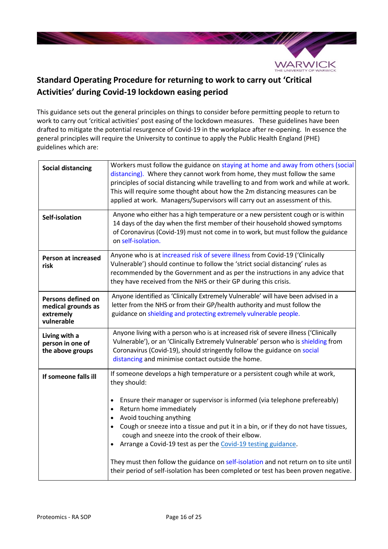

# **Standard Operating Procedure for returning to work to carry out 'Critical Activities' during Covid-19 lockdown easing period**

This guidance sets out the general principles on things to consider before permitting people to return to work to carry out 'critical activities' post easing of the lockdown measures. These guidelines have been drafted to mitigate the potential resurgence of Covid-19 in the workplace after re-opening. In essence the general principles will require the University to continue to apply the Public Health England (PHE) guidelines which are:

| <b>Social distancing</b>                                            | Workers must follow the guidance on staying at home and away from others (social<br>distancing). Where they cannot work from home, they must follow the same<br>principles of social distancing while travelling to and from work and while at work.<br>This will require some thought about how the 2m distancing measures can be<br>applied at work. Managers/Supervisors will carry out an assessment of this.                                                                                                                                                                                                                                                            |
|---------------------------------------------------------------------|------------------------------------------------------------------------------------------------------------------------------------------------------------------------------------------------------------------------------------------------------------------------------------------------------------------------------------------------------------------------------------------------------------------------------------------------------------------------------------------------------------------------------------------------------------------------------------------------------------------------------------------------------------------------------|
| Self-isolation                                                      | Anyone who either has a high temperature or a new persistent cough or is within<br>14 days of the day when the first member of their household showed symptoms<br>of Coronavirus (Covid-19) must not come in to work, but must follow the guidance<br>on self-isolation.                                                                                                                                                                                                                                                                                                                                                                                                     |
| <b>Person at increased</b><br>risk                                  | Anyone who is at increased risk of severe illness from Covid-19 ('Clinically<br>Vulnerable') should continue to follow the 'strict social distancing' rules as<br>recommended by the Government and as per the instructions in any advice that<br>they have received from the NHS or their GP during this crisis.                                                                                                                                                                                                                                                                                                                                                            |
| Persons defined on<br>medical grounds as<br>extremely<br>vulnerable | Anyone identified as 'Clinically Extremely Vulnerable' will have been advised in a<br>letter from the NHS or from their GP/health authority and must follow the<br>guidance on shielding and protecting extremely vulnerable people.                                                                                                                                                                                                                                                                                                                                                                                                                                         |
| Living with a<br>person in one of<br>the above groups               | Anyone living with a person who is at increased risk of severe illness ('Clinically<br>Vulnerable'), or an 'Clinically Extremely Vulnerable' person who is shielding from<br>Coronavirus (Covid-19), should stringently follow the guidance on social<br>distancing and minimise contact outside the home.                                                                                                                                                                                                                                                                                                                                                                   |
| If someone falls ill                                                | If someone develops a high temperature or a persistent cough while at work,<br>they should:<br>Ensure their manager or supervisor is informed (via telephone prefereably)<br>$\bullet$<br>Return home immediately<br>$\bullet$<br>Avoid touching anything<br>$\bullet$<br>Cough or sneeze into a tissue and put it in a bin, or if they do not have tissues,<br>$\bullet$<br>cough and sneeze into the crook of their elbow.<br>Arrange a Covid-19 test as per the Covid-19 testing guidance.<br>They must then follow the guidance on self-isolation and not return on to site until<br>their period of self-isolation has been completed or test has been proven negative. |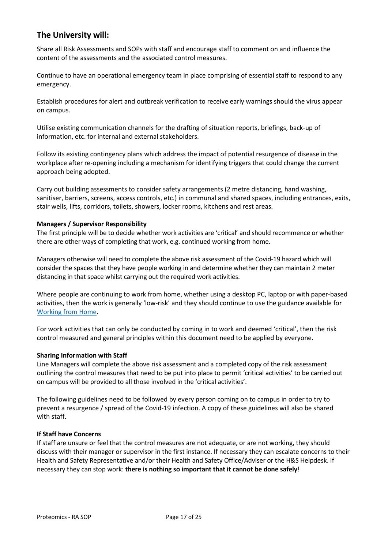## **The University will:**

Share all Risk Assessments and SOPs with staff and encourage staff to comment on and influence the content of the assessments and the associated control measures.

Continue to have an operational emergency team in place comprising of essential staff to respond to any emergency.

Establish procedures for alert and outbreak verification to receive early warnings should the virus appear on campus.

Utilise existing communication channels for the drafting of situation reports, briefings, back-up of information, etc. for internal and external stakeholders.

Follow its existing contingency plans which address the impact of potential resurgence of disease in the workplace after re-opening including a mechanism for identifying triggers that could change the current approach being adopted.

Carry out building assessments to consider safety arrangements (2 metre distancing, hand washing, sanitiser, barriers, screens, access controls, etc.) in communal and shared spaces, including entrances, exits, stair wells, lifts, corridors, toilets, showers, locker rooms, kitchens and rest areas.

#### **Managers / Supervisor Responsibility**

The first principle will be to decide whether work activities are 'critical' and should recommence or whether there are other ways of completing that work, e.g. continued working from home.

Managers otherwise will need to complete the above risk assessment of the Covid-19 hazard which will consider the spaces that they have people working in and determine whether they can maintain 2 meter distancing in that space whilst carrying out the required work activities.

Where people are continuing to work from home, whether using a desktop PC, laptop or with paper-based activities, then the work is generally 'low-risk' and they should continue to use the guidance available for Working from Home.

For work activities that can only be conducted by coming in to work and deemed 'critical', then the risk control measured and general principles within this document need to be applied by everyone.

#### **Sharing Information with Staff**

Line Managers will complete the above risk assessment and a completed copy of the risk assessment outlining the control measures that need to be put into place to permit 'critical activities' to be carried out on campus will be provided to all those involved in the 'critical activities'.

The following guidelines need to be followed by every person coming on to campus in order to try to prevent a resurgence / spread of the Covid-19 infection. A copy of these guidelines will also be shared with staff.

#### **If Staff have Concerns**

If staff are unsure or feel that the control measures are not adequate, or are not working, they should discuss with their manager or supervisor in the first instance. If necessary they can escalate concerns to their Health and Safety Representative and/or their Health and Safety Office/Adviser or the H&S Helpdesk. If necessary they can stop work: **there is nothing so important that it cannot be done safely**!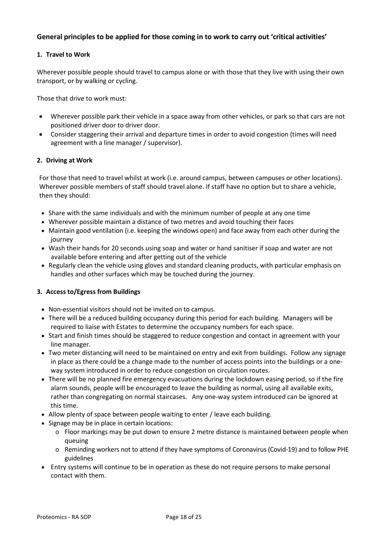## **General principles to be applied for those coming in to work to carry out 'critical activities'**

## **1. Travel to Work**

Wherever possible people should travel to campus alone or with those that they live with using their own transport, or by walking or cycling.

Those that drive to work must:

- Wherever possible park their vehicle in a space away from other vehicles, or park so that cars are not positioned driver door to driver door.
- Consider staggering their arrival and departure times in order to avoid congestion (times will need agreement with a line manager / supervisor).

#### **2. Driving at Work**

For those that need to travel whilst at work (i.e. around campus, between campuses or other locations). Wherever possible members of staff should travel alone. If staff have no option but to share a vehicle, then they should:

- Share with the same individuals and with the minimum number of people at any one time
- Wherever possible maintain a distance of two metres and avoid touching their faces
- Maintain good ventilation (i.e. keeping the windows open) and face away from each other during the journey
- Wash their hands for 20 seconds using soap and water or hand sanitiser if soap and water are not available before entering and after getting out of the vehicle
- Regularly clean the vehicle using gloves and standard cleaning products, with particular emphasis on handles and other surfaces which may be touched during the journey.

#### **3. Access to/Egress from Buildings**

- Non-essential visitors should not be invited on to campus.
- There will be a reduced building occupancy during this period for each building. Managers will be required to liaise with Estates to determine the occupancy numbers for each space.
- Start and finish times should be staggered to reduce congestion and contact in agreement with your line manager.
- Two meter distancing will need to be maintained on entry and exit from buildings. Follow any signage in place as there could be a change made to the number of access points into the buildings or a oneway system introduced in order to reduce congestion on circulation routes.
- There will be no planned fire emergency evacuations during the lockdown easing period, so if the fire alarm sounds, people will be encouraged to leave the building as normal, using all available exits, rather than congregating on normal staircases. Any one-way system introduced can be ignored at this time.
- Allow plenty of space between people waiting to enter / leave each building.
- Signage may be in place in certain locations:
	- $\circ$  Floor markings may be put down to ensure 2 metre distance is maintained between people when queuing
	- o Reminding workers not to attend if they have symptoms of Coronavirus (Covid-19) and to follow PHE guidelines
- Entry systems will continue to be in operation as these do not require persons to make personal contact with them.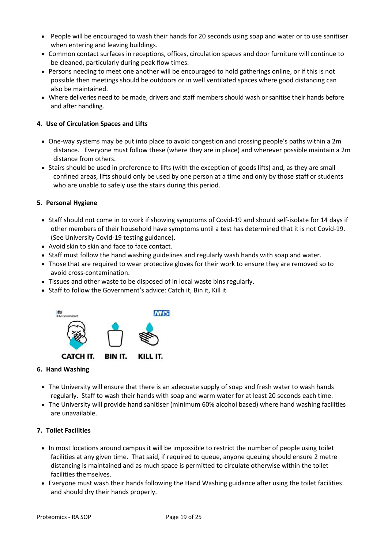- People will be encouraged to wash their hands for 20 seconds using soap and water or to use sanitiser when entering and leaving buildings.
- Common contact surfaces in receptions, offices, circulation spaces and door furniture will continue to be cleaned, particularly during peak flow times.
- Persons needing to meet one another will be encouraged to hold gatherings online, or if this is not possible then meetings should be outdoors or in well ventilated spaces where good distancing can also be maintained.
- Where deliveries need to be made, drivers and staff members should wash or sanitise their hands before and after handling.

## **4. Use of Circulation Spaces and Lifts**

- One-way systems may be put into place to avoid congestion and crossing people's paths within a 2m distance. Everyone must follow these (where they are in place) and wherever possible maintain a 2m distance from others.
- Stairs should be used in preference to lifts (with the exception of goods lifts) and, as they are small confined areas, lifts should only be used by one person at a time and only by those staff or students who are unable to safely use the stairs during this period.

## **5. Personal Hygiene**

- Staff should not come in to work if showing symptoms of Covid-19 and should self-isolate for 14 days if other members of their household have symptoms until a test has determined that it is not Covid-19. (See University Covid-19 testing guidance).
- Avoid skin to skin and face to face contact.
- Staff must follow the hand washing guidelines and regularly wash hands with soap and water.
- Those that are required to wear protective gloves for their work to ensure they are removed so to avoid cross-contamination.
- Tissues and other waste to be disposed of in local waste bins regularly.
- Staff to follow the Government's advice: Catch it, Bin it, Kill it



#### **6. Hand Washing**

- The University will ensure that there is an adequate supply of soap and fresh water to wash hands regularly. Staff to wash their hands with soap and warm water for at least 20 seconds each time.
- The University will provide hand sanitiser (minimum 60% alcohol based) where hand washing facilities are unavailable.

#### **7. Toilet Facilities**

- In most locations around campus it will be impossible to restrict the number of people using toilet facilities at any given time. That said, if required to queue, anyone queuing should ensure 2 metre distancing is maintained and as much space is permitted to circulate otherwise within the toilet facilities themselves.
- Everyone must wash their hands following the Hand Washing guidance after using the toilet facilities and should dry their hands properly.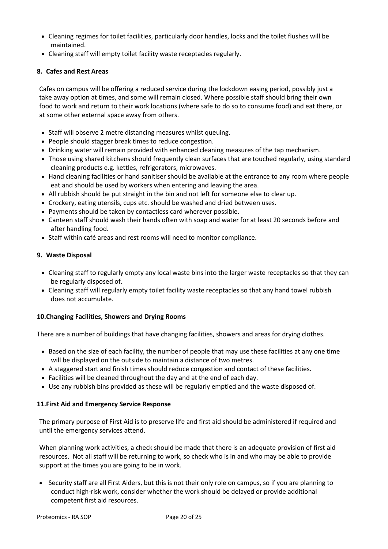- Cleaning regimes for toilet facilities, particularly door handles, locks and the toilet flushes will be maintained.
- Cleaning staff will empty toilet facility waste receptacles regularly.

## **8. Cafes and Rest Areas**

Cafes on campus will be offering a reduced service during the lockdown easing period, possibly just a take away option at times, and some will remain closed. Where possible staff should bring their own food to work and return to their work locations (where safe to do so to consume food) and eat there, or at some other external space away from others.

- Staff will observe 2 metre distancing measures whilst queuing.
- People should stagger break times to reduce congestion.
- Drinking water will remain provided with enhanced cleaning measures of the tap mechanism.
- Those using shared kitchens should frequently clean surfaces that are touched regularly, using standard cleaning products e.g. kettles, refrigerators, microwaves.
- Hand cleaning facilities or hand sanitiser should be available at the entrance to any room where people eat and should be used by workers when entering and leaving the area.
- All rubbish should be put straight in the bin and not left for someone else to clear up.
- Crockery, eating utensils, cups etc. should be washed and dried between uses.
- Payments should be taken by contactless card wherever possible.
- Canteen staff should wash their hands often with soap and water for at least 20 seconds before and after handling food.
- Staff within café areas and rest rooms will need to monitor compliance.

#### **9. Waste Disposal**

- Cleaning staff to regularly empty any local waste bins into the larger waste receptacles so that they can be regularly disposed of.
- Cleaning staff will regularly empty toilet facility waste receptacles so that any hand towel rubbish does not accumulate.

## **10.Changing Facilities, Showers and Drying Rooms**

There are a number of buildings that have changing facilities, showers and areas for drying clothes.

- Based on the size of each facility, the number of people that may use these facilities at any one time will be displayed on the outside to maintain a distance of two metres.
- A staggered start and finish times should reduce congestion and contact of these facilities.
- Facilities will be cleaned throughout the day and at the end of each day.
- Use any rubbish bins provided as these will be regularly emptied and the waste disposed of.

#### **11.First Aid and Emergency Service Response**

The primary purpose of First Aid is to preserve life and first aid should be administered if required and until the emergency services attend.

When planning work activities, a check should be made that there is an adequate provision of first aid resources. Not all staff will be returning to work, so check who is in and who may be able to provide support at the times you are going to be in work.

 Security staff are all First Aiders, but this is not their only role on campus, so if you are planning to conduct high-risk work, consider whether the work should be delayed or provide additional competent first aid resources.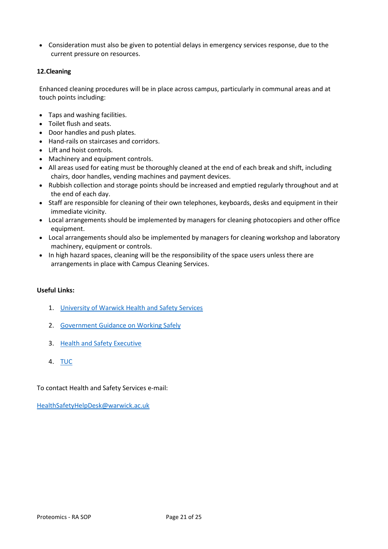Consideration must also be given to potential delays in emergency services response, due to the current pressure on resources.

## **12.Cleaning**

Enhanced cleaning procedures will be in place across campus, particularly in communal areas and at touch points including:

- Taps and washing facilities.
- Toilet flush and seats.
- Door handles and push plates.
- Hand-rails on staircases and corridors.
- Lift and hoist controls.
- Machinery and equipment controls.
- All areas used for eating must be thoroughly cleaned at the end of each break and shift, including chairs, door handles, vending machines and payment devices.
- Rubbish collection and storage points should be increased and emptied regularly throughout and at the end of each day.
- Staff are responsible for cleaning of their own telephones, keyboards, desks and equipment in their immediate vicinity.
- Local arrangements should be implemented by managers for cleaning photocopiers and other office equipment.
- Local arrangements should also be implemented by managers for cleaning workshop and laboratory machinery, equipment or controls.
- In high hazard spaces, cleaning will be the responsibility of the space users unless there are arrangements in place with Campus Cleaning Services.

#### **Useful Links:**

- 1. University of Warwick Health and Safety Services
- 2. Government Guidance on Working Safely
- 3. Health and Safety Executive
- 4. TUC

To contact Health and Safety Services e-mail:

HealthSafetyHelpDesk@warwick.ac.uk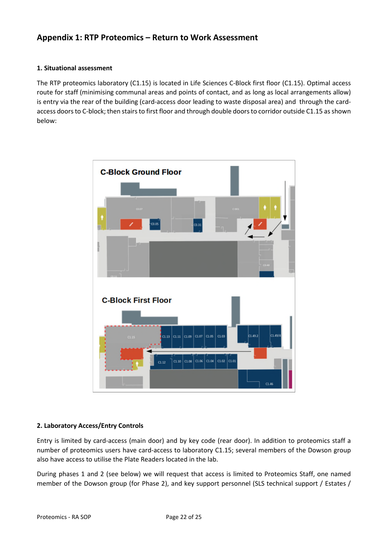# **Appendix 1: RTP Proteomics – Return to Work Assessment**

## **1. Situational assessment**

The RTP proteomics laboratory (C1.15) is located in Life Sciences C-Block first floor (C1.15). Optimal access route for staff (minimising communal areas and points of contact, and as long as local arrangements allow) is entry via the rear of the building (card-access door leading to waste disposal area) and through the cardaccess doors to C-block; then stairs to first floor and through double doors to corridor outside C1.15 as shown below:



#### **2. Laboratory Access/Entry Controls**

Entry is limited by card-access (main door) and by key code (rear door). In addition to proteomics staff a number of proteomics users have card-access to laboratory C1.15; several members of the Dowson group also have access to utilise the Plate Readers located in the lab.

During phases 1 and 2 (see below) we will request that access is limited to Proteomics Staff, one named member of the Dowson group (for Phase 2), and key support personnel (SLS technical support / Estates /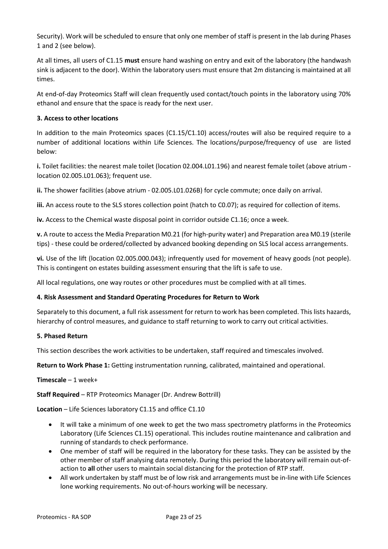Security). Work will be scheduled to ensure that only one member of staff is present in the lab during Phases 1 and 2 (see below).

At all times, all users of C1.15 **must** ensure hand washing on entry and exit of the laboratory (the handwash sink is adjacent to the door). Within the laboratory users must ensure that 2m distancing is maintained at all times.

At end-of-day Proteomics Staff will clean frequently used contact/touch points in the laboratory using 70% ethanol and ensure that the space is ready for the next user.

#### **3. Access to other locations**

In addition to the main Proteomics spaces (C1.15/C1.10) access/routes will also be required require to a number of additional locations within Life Sciences. The locations/purpose/frequency of use are listed below:

**i.** Toilet facilities: the nearest male toilet (location 02.004.L01.196) and nearest female toilet (above atrium location 02.005.L01.063); frequent use.

**ii.** The shower facilities (above atrium - 02.005.L01.026B) for cycle commute; once daily on arrival.

**iii.** An access route to the SLS stores collection point (hatch to C0.07); as required for collection of items.

**iv.** Access to the Chemical waste disposal point in corridor outside C1.16; once a week.

**v.** A route to access the Media Preparation M0.21 (for high-purity water) and Preparation area M0.19 (sterile tips) - these could be ordered/collected by advanced booking depending on SLS local access arrangements.

**vi.** Use of the lift (location 02.005.000.043); infrequently used for movement of heavy goods (not people). This is contingent on estates building assessment ensuring that the lift is safe to use.

All local regulations, one way routes or other procedures must be complied with at all times.

#### **4. Risk Assessment and Standard Operating Procedures for Return to Work**

Separately to this document, a full risk assessment for return to work has been completed. This lists hazards, hierarchy of control measures, and guidance to staff returning to work to carry out critical activities.

#### **5. Phased Return**

This section describes the work activities to be undertaken, staff required and timescales involved.

**Return to Work Phase 1:** Getting instrumentation running, calibrated, maintained and operational.

#### **Timescale** – 1 week+

**Staff Required** – RTP Proteomics Manager (Dr. Andrew Bottrill)

**Location** – Life Sciences laboratory C1.15 and office C1.10

- It will take a minimum of one week to get the two mass spectrometry platforms in the Proteomics Laboratory (Life Sciences C1.15) operational. This includes routine maintenance and calibration and running of standards to check performance.
- One member of staff will be required in the laboratory for these tasks. They can be assisted by the other member of staff analysing data remotely. During this period the laboratory will remain out-ofaction to **all** other users to maintain social distancing for the protection of RTP staff.
- All work undertaken by staff must be of low risk and arrangements must be in-line with Life Sciences lone working requirements. No out-of-hours working will be necessary.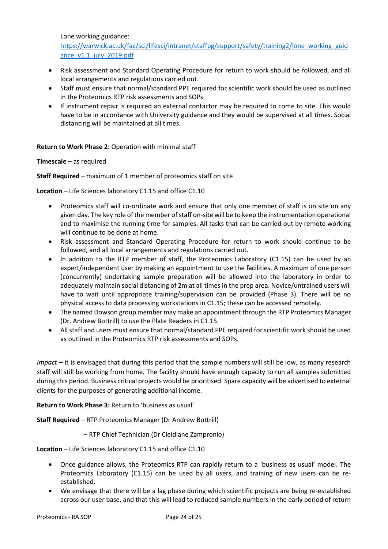Lone working guidance: https://warwick.ac.uk/fac/sci/lifesci/intranet/staffpg/support/safety/training2/lone\_working\_guid ance\_v1.1\_july\_2019.pdf

- Risk assessment and Standard Operating Procedure for return to work should be followed, and all local arrangements and regulations carried out.
- Staff must ensure that normal/standard PPE required for scientific work should be used as outlined in the Proteomics RTP risk assessments and SOPs.
- If instrument repair is required an external contactor may be required to come to site. This would have to be in accordance with University guidance and they would be supervised at all times. Social distancing will be maintained at all times.

**Return to Work Phase 2:** Operation with minimal staff

**Timescale** – as required

**Staff Required** – maximum of 1 member of proteomics staff on site

**Location** – Life Sciences laboratory C1.15 and office C1.10

- Proteomics staff will co-ordinate work and ensure that only one member of staff is on site on any given day. The key role of the member of staff on-site will be to keep the instrumentation operational and to maximise the running time for samples. All tasks that can be carried out by remote working will continue to be done at home.
- Risk assessment and Standard Operating Procedure for return to work should continue to be followed, and all local arrangements and regulations carried out.
- In addition to the RTP member of staff, the Proteomics Laboratory (C1.15) can be used by an expert/independent user by making an appointment to use the facilities. A maximum of one person (concurrently) undertaking sample preparation will be allowed into the laboratory in order to adequately maintain social distancing of 2m at all times in the prep area. Novice/untrained users will have to wait until appropriate training/supervision can be provided (Phase 3). There will be no physical access to data processing workstations in C1.15; these can be accessed remotely.
- The named Dowson group member may make an appointment through the RTP Proteomics Manager (Dr. Andrew Bottrill) to use the Plate Readers in C1.15.
- All staff and users must ensure that normal/standard PPE required for scientific work should be used as outlined in the Proteomics RTP risk assessments and SOPs.

*Impact* – it is envisaged that during this period that the sample numbers will still be low, as many research staff will still be working from home. The facility should have enough capacity to run all samples submitted during this period. Business critical projects would be prioritised. Spare capacity will be advertised to external clients for the purposes of generating additional income.

**Return to Work Phase 3:** Return to 'business as usual'

**Staff Required** – RTP Proteomics Manager (Dr Andrew Bottrill)

– RTP Chief Technician (Dr Cleidiane Zampronio)

**Location** – Life Sciences laboratory C1.15 and office C1.10

- Once guidance allows, the Proteomics RTP can rapidly return to a 'business as usual' model. The Proteomics Laboratory (C1.15) can be used by all users, and training of new users can be reestablished.
- We envisage that there will be a lag phase during which scientific projects are being re-established across our user base, and that this will lead to reduced sample numbers in the early period of return